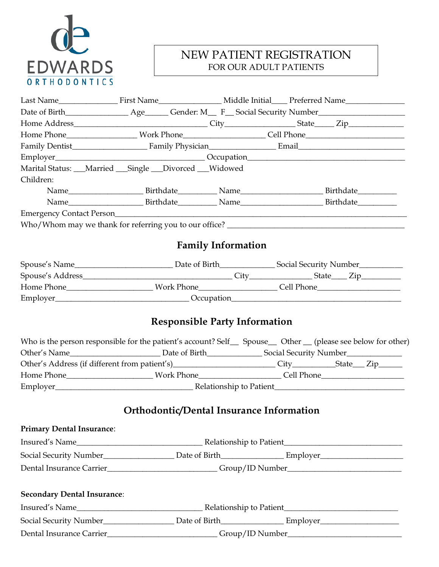

## NEW PATIENT REGISTRATION FOR OUR ADULT PATIENTS

| Marital Status: __Married __Single __Divorced __Widowed                                                                                                                                                                             |                                          |                                                                                                      |  |  |
|-------------------------------------------------------------------------------------------------------------------------------------------------------------------------------------------------------------------------------------|------------------------------------------|------------------------------------------------------------------------------------------------------|--|--|
| Children:                                                                                                                                                                                                                           |                                          |                                                                                                      |  |  |
|                                                                                                                                                                                                                                     |                                          |                                                                                                      |  |  |
|                                                                                                                                                                                                                                     |                                          |                                                                                                      |  |  |
|                                                                                                                                                                                                                                     |                                          |                                                                                                      |  |  |
|                                                                                                                                                                                                                                     |                                          |                                                                                                      |  |  |
|                                                                                                                                                                                                                                     |                                          | <b>Family Information</b>                                                                            |  |  |
| Spouse's Name <b>Manne</b> Spouse's Name Spouse's Name Spouse's Name Spouse's Name Spouse's Name Spouse's Name Spouse's Name Spouse's Name Spouse's Name Spouse's Name Spouse's Name Spouse's Name Spouse's Name Spouse's Name Spou |                                          |                                                                                                      |  |  |
|                                                                                                                                                                                                                                     |                                          |                                                                                                      |  |  |
| Home Phone__________________________Work Phone______________________Cell Phone______________________                                                                                                                                |                                          |                                                                                                      |  |  |
|                                                                                                                                                                                                                                     |                                          |                                                                                                      |  |  |
| Who is the person responsible for the patient's account? Self_ Spouse_ Other _ (please see below for other)                                                                                                                         |                                          | <b>Responsible Party Information</b>                                                                 |  |  |
|                                                                                                                                                                                                                                     |                                          |                                                                                                      |  |  |
|                                                                                                                                                                                                                                     |                                          |                                                                                                      |  |  |
|                                                                                                                                                                                                                                     |                                          |                                                                                                      |  |  |
|                                                                                                                                                                                                                                     | Orthodontic/Dental Insurance Information |                                                                                                      |  |  |
| <b>Primary Dental Insurance:</b>                                                                                                                                                                                                    |                                          |                                                                                                      |  |  |
|                                                                                                                                                                                                                                     |                                          |                                                                                                      |  |  |
|                                                                                                                                                                                                                                     |                                          |                                                                                                      |  |  |
|                                                                                                                                                                                                                                     |                                          | Dental Insurance Carrier______________________________Group/ID Number_______________________________ |  |  |
| <b>Secondary Dental Insurance:</b>                                                                                                                                                                                                  |                                          |                                                                                                      |  |  |
|                                                                                                                                                                                                                                     |                                          |                                                                                                      |  |  |
|                                                                                                                                                                                                                                     |                                          |                                                                                                      |  |  |
|                                                                                                                                                                                                                                     |                                          |                                                                                                      |  |  |